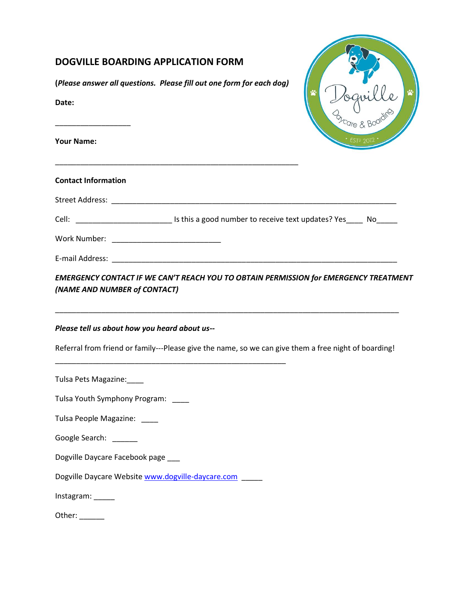| <b>DOGVILLE BOARDING APPLICATION FORM</b><br>(Please answer all questions. Please fill out one form for each dog)<br>Date:<br><b>Your Name:</b>                                                                                |  |
|--------------------------------------------------------------------------------------------------------------------------------------------------------------------------------------------------------------------------------|--|
| <b>Contact Information</b>                                                                                                                                                                                                     |  |
| Street Address: National Address: National Address: National Address: National Address: National Address: National Address: National Address: National Address: National Address: National Address: National Address: National |  |
| Cell: _______________________________ Is this a good number to receive text updates? Yes_____ No_____                                                                                                                          |  |
|                                                                                                                                                                                                                                |  |
|                                                                                                                                                                                                                                |  |
| EMERGENCY CONTACT IF WE CAN'T REACH YOU TO OBTAIN PERMISSION for EMERGENCY TREATMENT<br>(NAME AND NUMBER of CONTACT)                                                                                                           |  |
| Please tell us about how you heard about us--                                                                                                                                                                                  |  |
| Referral from friend or family---Please give the name, so we can give them a free night of boarding!                                                                                                                           |  |
| Tulsa Pets Magazine:                                                                                                                                                                                                           |  |
| Tulsa Youth Symphony Program:                                                                                                                                                                                                  |  |
| Tulsa People Magazine: ____                                                                                                                                                                                                    |  |
| Google Search: <b>Coogle Search</b>                                                                                                                                                                                            |  |
| Dogville Daycare Facebook page ___                                                                                                                                                                                             |  |
| Dogville Daycare Website www.dogville-daycare.com                                                                                                                                                                              |  |
| Instagram: _____                                                                                                                                                                                                               |  |
| Other: $\_\_$                                                                                                                                                                                                                  |  |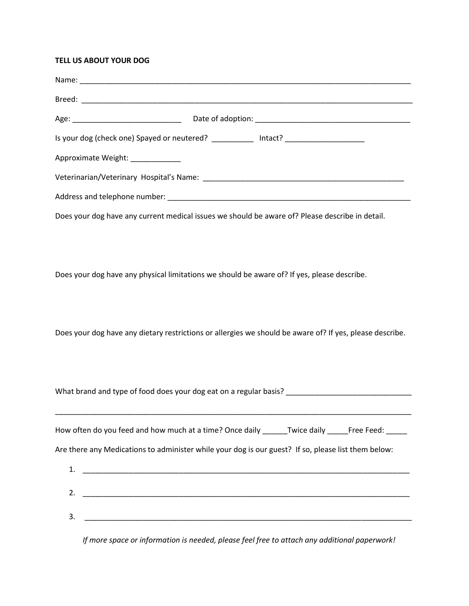### **TELL US ABOUT YOUR DOG**

Does your dog have any physical limitations we should be aware of? If yes, please describe.

Does your dog have any dietary restrictions or allergies we should be aware of? If yes, please describe.

\_\_\_\_\_\_\_\_\_\_\_\_\_\_\_\_\_\_\_\_\_\_\_\_\_\_\_\_\_\_\_\_\_\_\_\_\_\_\_\_\_\_\_\_\_\_\_\_\_\_\_\_\_\_\_\_\_\_\_\_\_\_\_\_\_\_\_\_\_\_\_\_\_\_\_\_\_\_\_\_\_\_\_\_\_ How often do you feed and how much at a time? Once daily \_\_\_\_\_\_Twice daily \_\_\_\_\_Free Feed: \_\_\_\_\_ Are there any Medications to administer while your dog is our guest? If so, please list them below:

What brand and type of food does your dog eat on a regular basis? \_\_\_\_\_\_\_\_\_\_\_\_\_\_\_\_\_\_\_\_\_\_\_\_\_\_\_\_\_\_

| ⊥. |  |
|----|--|
| 2. |  |
| 3. |  |

*If more space or information is needed, please feel free to attach any additional paperwork!*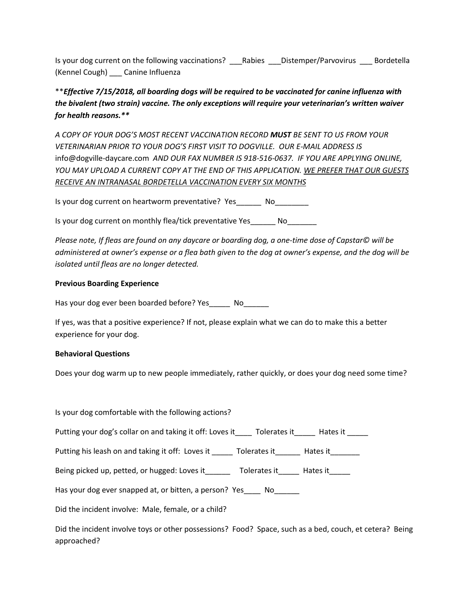Is your dog current on the following vaccinations? \_\_\_\_Rabies \_\_\_\_Distemper/Parvovirus \_\_\_\_\_Bordetella (Kennel Cough) \_\_\_ Canine Influenza

\*\**Effective 7/15/2018, all boarding dogs will be required to be vaccinated for canine influenza with the bivalent (two strain) vaccine. The only exceptions will require your veterinarian's written waiver for health reasons.\*\**

*A COPY OF YOUR DOG'S MOST RECENT VACCINATION RECORD MUST BE SENT TO US FROM YOUR VETERINARIAN PRIOR TO YOUR DOG'S FIRST VISIT TO DOGVILLE. OUR E-MAIL ADDRESS IS*  info@dogville-daycare.com *AND OUR FAX NUMBER IS 918-516-0637. IF YOU ARE APPLYING ONLINE, YOU MAY UPLOAD A CURRENT COPY AT THE END OF THIS APPLICATION. WE PREFER THAT OUR GUESTS RECEIVE AN INTRANASAL BORDETELLA VACCINATION EVERY SIX MONTHS*

Is your dog current on heartworm preventative? Yes No

Is your dog current on monthly flea/tick preventative Yes\_\_\_\_\_\_\_ No

*Please note, If fleas are found on any daycare or boarding dog, a one-time dose of Capstar© will be administered at owner's expense or a flea bath given to the dog at owner's expense, and the dog will be isolated until fleas are no longer detected.*

# **Previous Boarding Experience**

Has your dog ever been boarded before? Yes\_\_\_\_\_\_ No\_\_\_\_\_\_

If yes, was that a positive experience? If not, please explain what we can do to make this a better experience for your dog.

# **Behavioral Questions**

Does your dog warm up to new people immediately, rather quickly, or does your dog need some time?

| Is your dog comfortable with the following actions?                                    |
|----------------------------------------------------------------------------------------|
| Putting your dog's collar on and taking it off: Loves it Tolerates it Frates it        |
| Putting his leash on and taking it off: Loves it _______ Tolerates it _______ Hates it |
| Being picked up, petted, or hugged: Loves it<br>Tolerates it _______ Hates it______    |
| Has your dog ever snapped at, or bitten, a person? Yes No                              |
| Did the incident involve: Male, female, or a child?                                    |
|                                                                                        |

Did the incident involve toys or other possessions? Food? Space, such as a bed, couch, et cetera? Being approached?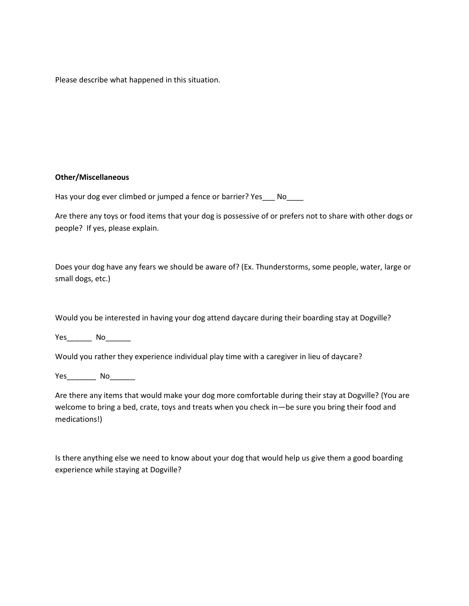Please describe what happened in this situation.

### **Other/Miscellaneous**

Has your dog ever climbed or jumped a fence or barrier? Yes\_\_\_ No\_\_\_\_

Are there any toys or food items that your dog is possessive of or prefers not to share with other dogs or people? If yes, please explain.

Does your dog have any fears we should be aware of? (Ex. Thunderstorms, some people, water, large or small dogs, etc.)

Would you be interested in having your dog attend daycare during their boarding stay at Dogville?

Yes<sup>to</sup> No

Would you rather they experience individual play time with a caregiver in lieu of daycare?

Yes\_\_\_\_\_\_\_\_ No\_\_\_\_\_\_

Are there any items that would make your dog more comfortable during their stay at Dogville? (You are welcome to bring a bed, crate, toys and treats when you check in—be sure you bring their food and medications!)

Is there anything else we need to know about your dog that would help us give them a good boarding experience while staying at Dogville?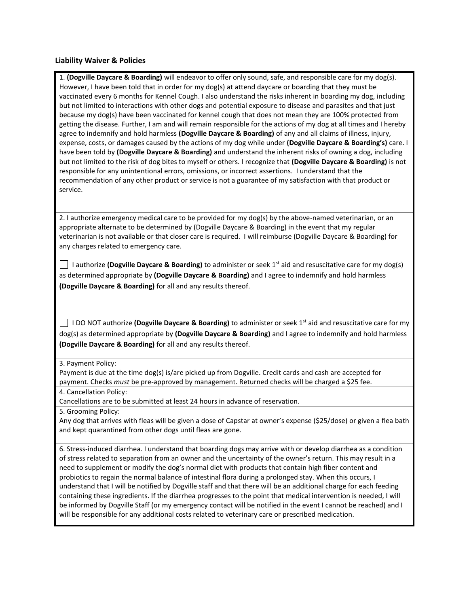#### **Liability Waiver & Policies**

1. **(Dogville Daycare & Boarding)** will endeavor to offer only sound, safe, and responsible care for my dog(s). However, I have been told that in order for my dog(s) at attend daycare or boarding that they must be vaccinated every 6 months for Kennel Cough. I also understand the risks inherent in boarding my dog, including but not limited to interactions with other dogs and potential exposure to disease and parasites and that just because my dog(s) have been vaccinated for kennel cough that does not mean they are 100% protected from getting the disease. Further, I am and will remain responsible for the actions of my dog at all times and I hereby agree to indemnify and hold harmless **(Dogville Daycare & Boarding)** of any and all claims of illness, injury, expense, costs, or damages caused by the actions of my dog while under **(Dogville Daycare & Boarding's)** care. I have been told by **(Dogville Daycare & Boarding)** and understand the inherent risks of owning a dog, including but not limited to the risk of dog bites to myself or others. I recognize that **(Dogville Daycare & Boarding)** is not responsible for any unintentional errors, omissions, or incorrect assertions. I understand that the recommendation of any other product or service is not a guarantee of my satisfaction with that product or service.

2. I authorize emergency medical care to be provided for my dog(s) by the above-named veterinarian, or an appropriate alternate to be determined by (Dogville Daycare & Boarding) in the event that my regular veterinarian is not available or that closer care is required. I will reimburse (Dogville Daycare & Boarding) for any charges related to emergency care.

 I authorize **(Dogville Daycare & Boarding)** to administer or seek 1st aid and resuscitative care for my dog(s) as determined appropriate by **(Dogville Daycare & Boarding)** and I agree to indemnify and hold harmless **(Dogville Daycare & Boarding)** for all and any results thereof.

 I DO NOT authorize **(Dogville Daycare & Boarding)** to administer or seek 1st aid and resuscitative care for my dog(s) as determined appropriate by **(Dogville Daycare & Boarding)** and I agree to indemnify and hold harmless **(Dogville Daycare & Boarding)** for all and any results thereof.

#### 3. Payment Policy:

Payment is due at the time dog(s) is/are picked up from Dogville. Credit cards and cash are accepted for payment. Checks *must* be pre-approved by management. Returned checks will be charged a \$25 fee.

4. Cancellation Policy:

Cancellations are to be submitted at least 24 hours in advance of reservation.

5. Grooming Policy:

Any dog that arrives with fleas will be given a dose of Capstar at owner's expense (\$25/dose) or given a flea bath and kept quarantined from other dogs until fleas are gone.

6. Stress-induced diarrhea. I understand that boarding dogs may arrive with or develop diarrhea as a condition of stress related to separation from an owner and the uncertainty of the owner's return. This may result in a need to supplement or modify the dog's normal diet with products that contain high fiber content and probiotics to regain the normal balance of intestinal flora during a prolonged stay. When this occurs, I understand that I will be notified by Dogville staff and that there will be an additional charge for each feeding containing these ingredients. If the diarrhea progresses to the point that medical intervention is needed, I will be informed by Dogville Staff (or my emergency contact will be notified in the event I cannot be reached) and I will be responsible for any additional costs related to veterinary care or prescribed medication.